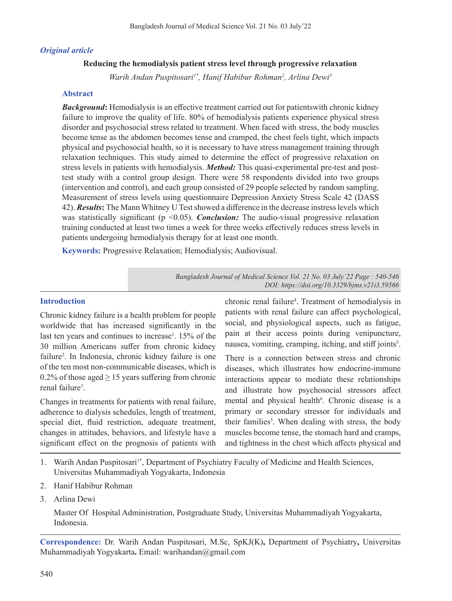# *Original article*

### **Reducing the hemodialysis patient stress level through progressive relaxation**

Warih Andan Puspitosari<sup>1\*</sup>, Hanif Habibur Rohman<sup>2</sup>, Arlina Dewi<sup>3</sup>

#### **Abstract**

**Background:** Hemodialysis is an effective treatment carried out for patients with chronic kidney failure to improve the quality of life. 80% of hemodialysis patients experience physical stress disorder and psychosocial stress related to treatment. When faced with stress, the body muscles become tense as the abdomen becomes tense and cramped, the chest feels tight, which impacts physical and psychosocial health, so it is necessary to have stress management training through relaxation techniques. This study aimed to determine the effect of progressive relaxation on stress levels in patients with hemodialysis. *Method:* This quasi-experimental pre-test and posttest study with a control group design. There were 58 respondents divided into two groups (intervention and control), and each group consisted of 29 people selected by random sampling. Measurement of stress levels using questionnaire Depression Anxiety Stress Scale 42 (DASS 42). *Results*: The Mann Whitney U Test showed a difference in the decrease instress levels which was statistically significant (p <0.05). *Conclusion:* The audio-visual progressive relaxation training conducted at least two times a week for three weeks effectively reduces stress levels in patients undergoing hemodialysis therapy for at least one month.

**Keywords:** Progressive Relaxation; Hemodialysis; Audiovisual.

*Bangladesh Journal of Medical Science Vol. 21 No. 03 July'22 Page : 540-546 DOI: https://doi.org/10.3329/bjms.v21i3.59566*

#### **Introduction**

Chronic kidney failure is a health problem for people worldwide that has increased significantly in the last ten years and continues to increase<sup>1</sup>. 15% of the 30 million Americans suffer from chronic kidney failure<sup>2</sup>. In Indonesia, chronic kidney failure is one of the ten most non-communicable diseases, which is 0.2% of those aged  $\geq$  15 years suffering from chronic renal failure<sup>3</sup>.

Changes in treatments for patients with renal failure, adherence to dialysis schedules, length of treatment, special diet, fluid restriction, adequate treatment, changes in attitudes, behaviors, and lifestyle have a significant effect on the prognosis of patients with

chronic renal failure<sup>4</sup>. Treatment of hemodialysis in patients with renal failure can affect psychological, social, and physiological aspects, such as fatigue, pain at their access points during venipuncture, nausea, vomiting, cramping, itching, and stiff joints<sup>5</sup>.

There is a connection between stress and chronic diseases, which illustrates how endocrine-immune interactions appear to mediate these relationships and illustrate how psychosocial stressors affect mental and physical health<sup>6</sup>. Chronic disease is a primary or secondary stressor for individuals and their families<sup>5</sup>. When dealing with stress, the body muscles become tense, the stomach hard and cramps, and tightness in the chest which affects physical and

- 1. Warih Andan Puspitosari<sup>1\*</sup>, Department of Psychiatry Faculty of Medicine and Health Sciences, Universitas Muhammadiyah Yogyakarta, Indonesia
- 2. Hanif Habibur Rohman
- 3. Arlina Dewi

 Master Of Hospital Administration, Postgraduate Study, Universitas Muhammadiyah Yogyakarta, Indonesia.

**Correspondence:** Dr. Warih Andan Puspitosari, M.Sc, SpKJ(K)**,** Department of Psychiatry**,** Universitas Muhammadiyah Yogyakarta**.** Email: warihandan@gmail.com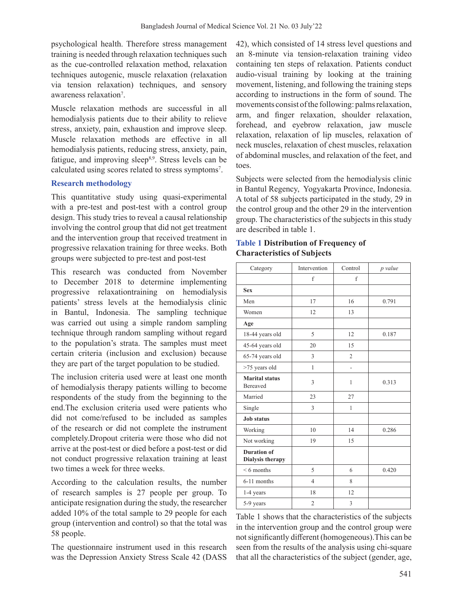psychological health. Therefore stress management training is needed through relaxation techniques such as the cue-controlled relaxation method, relaxation techniques autogenic, muscle relaxation (relaxation via tension relaxation) techniques, and sensory awareness relaxation<sup>7</sup>.

Muscle relaxation methods are successful in all hemodialysis patients due to their ability to relieve stress, anxiety, pain, exhaustion and improve sleep. Muscle relaxation methods are effective in all hemodialysis patients, reducing stress, anxiety, pain, fatigue, and improving sleep<sup>8,9</sup>. Stress levels can be calculated using scores related to stress symptoms<sup>7</sup>.

### **Research methodology**

This quantitative study using quasi-experimental with a pre-test and post-test with a control group design. This study tries to reveal a causal relationship involving the control group that did not get treatment and the intervention group that received treatment in progressive relaxation training for three weeks. Both groups were subjected to pre-test and post-test

This research was conducted from November to December 2018 to determine implementing progressive relaxationtraining on hemodialysis patients' stress levels at the hemodialysis clinic in Bantul, Indonesia. The sampling technique was carried out using a simple random sampling technique through random sampling without regard to the population's strata. The samples must meet certain criteria (inclusion and exclusion) because they are part of the target population to be studied.

The inclusion criteria used were at least one month of hemodialysis therapy patients willing to become respondents of the study from the beginning to the end.The exclusion criteria used were patients who did not come/refused to be included as samples of the research or did not complete the instrument completely.Dropout criteria were those who did not arrive at the post-test or died before a post-test or did not conduct progressive relaxation training at least two times a week for three weeks.

According to the calculation results, the number of research samples is 27 people per group. To anticipate resignation during the study, the researcher added 10% of the total sample to 29 people for each group (intervention and control) so that the total was 58 people.

The questionnaire instrument used in this research was the Depression Anxiety Stress Scale 42 (DASS 42), which consisted of 14 stress level questions and an 8-minute via tension-relaxation training video containing ten steps of relaxation. Patients conduct audio-visual training by looking at the training movement, listening, and following the training steps according to instructions in the form of sound. The movements consist of the following: palms relaxation, arm, and finger relaxation, shoulder relaxation, forehead, and eyebrow relaxation, jaw muscle relaxation, relaxation of lip muscles, relaxation of neck muscles, relaxation of chest muscles, relaxation of abdominal muscles, and relaxation of the feet, and toes.

Subjects were selected from the hemodialysis clinic in Bantul Regency, Yogyakarta Province, Indonesia. A total of 58 subjects participated in the study, 29 in the control group and the other 29 in the intervention group. The characteristics of the subjects in this study are described in table 1.

#### **Table 1 Distribution of Frequency of Characteristics of Subjects**

| Category                               | Intervention   | Control        | p value |
|----------------------------------------|----------------|----------------|---------|
|                                        | f              | f              |         |
| <b>Sex</b>                             |                |                |         |
| Men                                    | 17             | 16             | 0.791   |
| Women                                  | 12             | 13             |         |
| Age                                    |                |                |         |
| 18-44 years old                        | 5              | 12             | 0.187   |
| 45-64 years old                        | 20             | 15             |         |
| 65-74 years old                        | 3              | $\overline{c}$ |         |
| >75 years old                          | 1              | $\overline{a}$ |         |
| <b>Marital status</b><br>Bereaved      | 3              | 1              | 0.313   |
| Married                                | 23             | 27             |         |
| Single                                 | 3              | 1              |         |
| <b>Job</b> status                      |                |                |         |
| Working                                | 10             | 14             | 0.286   |
| Not working                            | 19             | 15             |         |
| <b>Duration of</b><br>Dialysis therapy |                |                |         |
| $< 6$ months                           | 5              | 6              | 0.420   |
| 6-11 months                            | 4              | 8              |         |
| 1-4 years                              | 18             | 12             |         |
| 5-9 years                              | $\overline{2}$ | 3              |         |

Table 1 shows that the characteristics of the subjects in the intervention group and the control group were notsignificantly different (homogeneous).This can be seen from the results of the analysis using chi-square that all the characteristics of the subject (gender, age,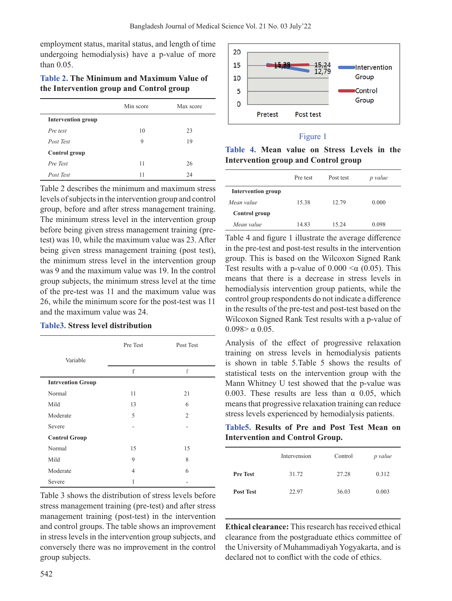employment status, marital status, and length of time undergoing hemodialysis) have a p-value of more than 0.05.

# **Table 2. The Minimum and Maximum Value of the Intervention group and Control group**

|                           | Min score | Max score |
|---------------------------|-----------|-----------|
| <b>Intervention group</b> |           |           |
| Pre test                  | 10        | 23        |
| Post Test                 | 9         | 19        |
| Control group             |           |           |
| Pre Test                  | 11        | 26        |
| Post Test                 | 11        | 24        |

Table 2 describes the minimum and maximum stress levels of subjects in the intervention group and control group, before and after stress management training. The minimum stress level in the intervention group before being given stress management training (pretest) was 10, while the maximum value was 23. After being given stress management training (post test), the minimum stress level in the intervention group was 9 and the maximum value was 19. In the control group subjects, the minimum stress level at the time of the pre-test was 11 and the maximum value was 26, while the minimum score for the post-test was 11 and the maximum value was 24.

# **Table3. Stress level distribution**

|                          | Pre Test | Post Test      |
|--------------------------|----------|----------------|
| Variable                 |          |                |
|                          | f        | f              |
| <b>Intrvention Group</b> |          |                |
| Normal                   | 11       | 21             |
| Mild                     | 13       | 6              |
| Moderate                 | 5        | $\overline{2}$ |
| Severe                   |          |                |
| <b>Control Group</b>     |          |                |
| Normal                   | 15       | 15             |
| Mild                     | 9        | 8              |
| Moderate                 | 4        | 6              |
| Severe                   | 1        |                |

Table 3 shows the distribution of stress levels before stress management training (pre-test) and after stress management training (post-test) in the intervention and control groups. The table shows an improvement in stress levels in the intervention group subjects, and conversely there was no improvement in the control group subjects.



#### Figure 1

**Table 4. Mean value on Stress Levels in the Intervention group and Control group**

|                           | Pre test | Post test | p value |
|---------------------------|----------|-----------|---------|
| <b>Intervention group</b> |          |           |         |
| Mean value                | 15.38    | 12.79     | 0.000   |
| Control group             |          |           |         |
| Mean value                | 14.83    | 15.24     | 0.098   |

Table 4 and figure 1 illustrate the average difference in the pre-test and post-test results in the intervention group. This is based on the Wilcoxon Signed Rank Test results with a p-value of  $0.000 \leq \alpha (0.05)$ . This means that there is a decrease in stress levels in hemodialysis intervention group patients, while the control group respondents do not indicate a difference in the results of the pre-test and post-test based on the Wilcoxon Signed Rank Test results with a p-value of  $0.098 > \alpha$  0.05.

Analysis of the effect of progressive relaxation training on stress levels in hemodialysis patients is shown in table 5.Table 5 shows the results of statistical tests on the intervention group with the Mann Whitney U test showed that the p-value was 0.003. These results are less than  $\alpha$  0.05, which means that progressive relaxation training can reduce stress levels experienced by hemodialysis patients.

### **Table5. Results of Pre and Post Test Mean on Intervention and Control Group.**

|                  | Intervension | Control | p value |
|------------------|--------------|---------|---------|
| <b>Pre Test</b>  | 31.72        | 27.28   | 0.312   |
| <b>Post Test</b> | 22.97        | 36.03   | 0.003   |

**Ethical clearance:** This research has received ethical clearance from the postgraduate ethics committee of the University of Muhammadiyah Yogyakarta, and is declared not to conflict with the code of ethics.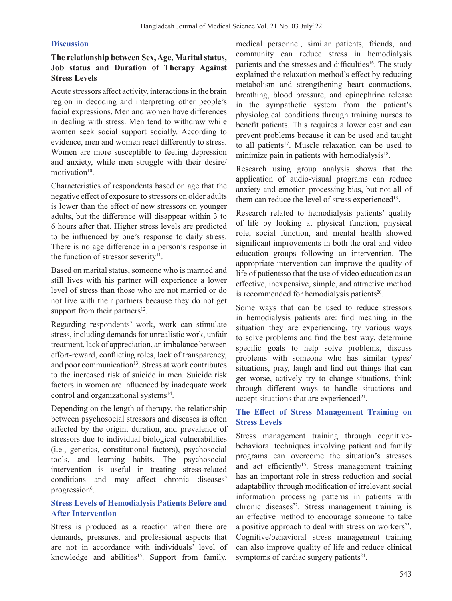### **Discussion**

### **The relationship between Sex, Age, Marital status, Job status and Duration of Therapy Against Stress Levels**

Acute stressors affect activity, interactions in the brain region in decoding and interpreting other people's facial expressions. Men and women have differences in dealing with stress. Men tend to withdraw while women seek social support socially. According to evidence, men and women react differently to stress. Women are more susceptible to feeling depression and anxiety, while men struggle with their desire/ motivation<sup>10</sup>.

Characteristics of respondents based on age that the negative effect of exposure to stressors on older adults is lower than the effect of new stressors on younger adults, but the difference will disappear within 3 to 6 hours after that. Higher stress levels are predicted to be influenced by one's response to daily stress. There is no age difference in a person's response in the function of stressor severity $11$ .

Based on marital status, someone who is married and still lives with his partner will experience a lower level of stress than those who are not married or do not live with their partners because they do not get support from their partners $^{12}$ .

Regarding respondents' work, work can stimulate stress, including demands for unrealistic work, unfair treatment, lack of appreciation, an imbalance between effort-reward, conflicting roles, lack of transparency, and poor communication<sup>13</sup>. Stress at work contributes to the increased risk of suicide in men. Suicide risk factors in women are influenced by inadequate work control and organizational systems<sup>14</sup>.

Depending on the length of therapy, the relationship between psychosocial stressors and diseases is often affected by the origin, duration, and prevalence of stressors due to individual biological vulnerabilities (i.e., genetics, constitutional factors), psychosocial tools, and learning habits. The psychosocial intervention is useful in treating stress-related conditions and may affect chronic diseases' progression<sup>6</sup>.

### **Stress Levels of Hemodialysis Patients Before and After Intervention**

Stress is produced as a reaction when there are demands, pressures, and professional aspects that are not in accordance with individuals' level of knowledge and abilities<sup>15</sup>. Support from family, medical personnel, similar patients, friends, and community can reduce stress in hemodialysis patients and the stresses and difficulties<sup>16</sup>. The study explained the relaxation method's effect by reducing metabolism and strengthening heart contractions, breathing, blood pressure, and epinephrine release in the sympathetic system from the patient's physiological conditions through training nurses to benefit patients. This requires a lower cost and can prevent problems because it can be used and taught to all patients<sup>17</sup>. Muscle relaxation can be used to minimize pain in patients with hemodialysis<sup>18</sup>.

Research using group analysis shows that the application of audio-visual programs can reduce anxiety and emotion processing bias, but not all of them can reduce the level of stress experienced<sup>19</sup>.

Research related to hemodialysis patients' quality of life by looking at physical function, physical role, social function, and mental health showed significant improvements in both the oral and video education groups following an intervention. The appropriate intervention can improve the quality of life of patientsso that the use of video education as an effective, inexpensive, simple, and attractive method is recommended for hemodialysis patients<sup>20</sup>.

Some ways that can be used to reduce stressors in hemodialysis patients are: find meaning in the situation they are experiencing, try various ways to solve problems and find the best way, determine specific goals to help solve problems, discuss problems with someone who has similar types/ situations, pray, laugh and find out things that can get worse, actively try to change situations, think through different ways to handle situations and accept situations that are experienced $21$ .

### **The Effect of Stress Management Training on Stress Levels**

Stress management training through cognitivebehavioral techniques involving patient and family programs can overcome the situation's stresses and act efficiently<sup>15</sup>. Stress management training has an important role in stress reduction and social adaptability through modification of irrelevant social information processing patterns in patients with chronic diseases $22$ . Stress management training is an effective method to encourage someone to take a positive approach to deal with stress on workers $23$ . Cognitive/behavioral stress management training can also improve quality of life and reduce clinical symptoms of cardiac surgery patients $24$ .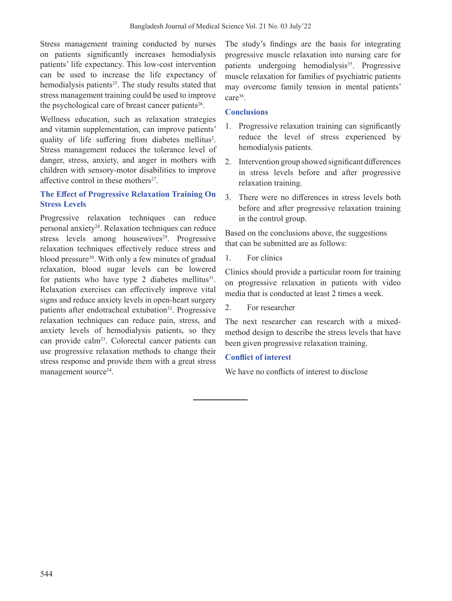Stress management training conducted by nurses on patients significantly increases hemodialysis patients' life expectancy. This low-cost intervention can be used to increase the life expectancy of hemodialysis patients<sup>25</sup>. The study results stated that stress management training could be used to improve the psychological care of breast cancer patients<sup>26</sup>.

Wellness education, such as relaxation strategies and vitamin supplementation, can improve patients' quality of life suffering from diabetes mellitus<sup>2</sup>. Stress management reduces the tolerance level of danger, stress, anxiety, and anger in mothers with children with sensory-motor disabilities to improve affective control in these mothers $27$ .

# **The Effect of Progressive Relaxation Training On Stress Levels**

Progressive relaxation techniques can reduce personal anxiety<sup>28</sup>. Relaxation techniques can reduce stress levels among housewives<sup>29</sup>. Progressive relaxation techniques effectively reduce stress and blood pressure<sup>30</sup>. With only a few minutes of gradual relaxation, blood sugar levels can be lowered for patients who have type 2 diabetes mellitus $31$ . Relaxation exercises can effectively improve vital signs and reduce anxiety levels in open-heart surgery patients after endotracheal extubation<sup>32</sup>. Progressive relaxation techniques can reduce pain, stress, and anxiety levels of hemodialysis patients, so they can provide calm<sup>33</sup>. Colorectal cancer patients can use progressive relaxation methods to change their stress response and provide them with a great stress management source<sup>34</sup>.

The study's findings are the basis for integrating progressive muscle relaxation into nursing care for patients undergoing hemodialysis<sup>35</sup>. Progressive muscle relaxation for families of psychiatric patients may overcome family tension in mental patients' care<sup>36</sup>.

### **Conclusions**

- 1. Progressive relaxation training can significantly reduce the level of stress experienced by hemodialysis patients.
- 2. Intervention group showed significant differences in stress levels before and after progressive relaxation training.
- 3. There were no differences in stress levels both before and after progressive relaxation training in the control group.

Based on the conclusions above, the suggestions that can be submitted are as follows:

1. For clinics

Clinics should provide a particular room for training on progressive relaxation in patients with video media that is conducted at least 2 times a week.

2. For researcher

The next researcher can research with a mixedmethod design to describe the stress levels that have been given progressive relaxation training.

# **Conflict of interest**

We have no conflicts of interest to disclose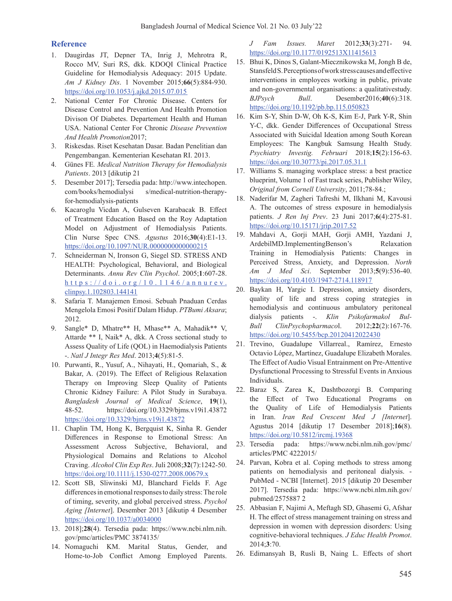#### **Reference**

- 1. Daugirdas JT, Depner TA, Inrig J, Mehrotra R, Rocco MV, Suri RS, dkk. KDOQI Clinical Practice Guideline for Hemodialysis Adequacy: 2015 Update. *Am J Kidney Dis*. 1 November 2015;**66**(5):884-930. https://doi.org/10.1053/j.ajkd.2015.07.015
- 2. National Center For Chronic Disease. Centers for Disease Control and Prevention And Health Promotion Divison Of Diabetes. Departement Health and Human USA. National Center For Chronic *Disease Prevention And Health Promotion*2017;
- 3. Riskesdas. Riset Kesehatan Dasar. Badan Penelitian dan Pengembangan. Kementerian Kesehatan RI. 2013.
- 4. Günes FE*. Medical Nutrition Therapy for Hemodialysis Patients*. 2013 [dikutip 21
- 5. Desember 2017]; Tersedia pada: http://www.intechopen. com/books/hemodialysi s/medical-nutrition-therapyfor-hemodialysis-patients
- 6. Kacaroglu Vicdan A, Gulseven Karabacak B. Effect of Treatment Education Based on the Roy Adaptation Model on Adjustment of Hemodialysis Patients. Clin Nurse Spec CNS. *Agustus* 2016;**30**(4):E1-13. https://doi.org/10.1097/NUR.0000000000000215
- 7. Schneiderman N, Ironson G, Siegel SD. STRESS AND HEALTH: Psychological, Behavioral, and Biological Determinants. *Annu Rev Clin Psychol*. 2005;**1**:607-28. https://doi.org/10.1146/annurev. clinpsy.1.102803.144141
- 8. Safaria T. Manajemen Emosi. Sebuah Pnaduan Cerdas Mengelola Emosi Positif Dalam Hidup. *PTBumi Aksara*; 2012.
- 9. Sangle\* D, Mhatre\*\* H, Mhase\*\* A, Mahadik\*\* V, Attarde \*\* I, Naik\* A, dkk. A Cross sectional study to Assess Quality of Life (QOL) in Haemodialysis Patients -. *Natl J Integr Res Med*. 2013;**4**(5):81-5.
- 10. Purwanti, R., Yusuf, A., Nihayati, H., Qomariah, S., & Bakar, A. (2019). The Effect of Religious Relaxation Therapy on Improving Sleep Quality of Patients Chronic Kidney Failure: A Pilot Study in Surabaya. *Bangladesh Journal of Medical Science*, **19**(1), 48-52. https://doi.org/10.3329/bjms.v19i1.43872 https://doi.org/10.3329/bjms.v19i1.43872
- 11. Chaplin TM, Hong K, Bergquist K, Sinha R. Gender Differences in Response to Emotional Stress: An Assessment Across Subjective, Behavioral, and Physiological Domains and Relations to Alcohol Craving. *Alcohol Clin Exp Res*. Juli 2008;**32**(7):1242-50. https://doi.org/10.1111/j.1530-0277.2008.00679.x
- 12. Scott SB, Sliwinski MJ, Blanchard Fields F. Age differences in emotional responses to daily stress: The role of timing, severity, and global perceived stress. *Psychol Aging [Internet*]. Desember 2013 [dikutip 4 Desember https://doi.org/10.1037/a0034000
- 13. 2018];**28**(4). Tersedia pada: https://www.ncbi.nlm.nih. gov/pmc/articles/PMC 3874135/
- 14. Nomaguchi KM. Marital Status, Gender, and Home-to-Job Conflict Among Employed Parents.

*J Fam Issues. Maret* 2012;**33**(3):271- 94. https://doi.org/10.1177/0192513X11415613

- 15. Bhui K, Dinos S, Galant-Miecznikowska M, Jongh B de, StansfeldS.Perceptionsofworkstresscausesandeffective interventions in employees working in public, private and non-governmental organisations: a qualitativestudy. *BJPsych Bull*. Desember2016;**40**(6):318. https://doi.org/10.1192/pb.bp.115.050823
- 16. Kim S-Y, Shin D-W, Oh K-S, Kim E-J, Park Y-R, Shin Y-C, dkk. Gender Differences of Occupational Stress Associated with Suicidal Ideation among South Korean Employees: The Kangbuk Samsung Health Study. *Psychiatry Investig. Februari* 2018;**15**(2):156-63. https://doi.org/10.30773/pi.2017.05.31.1
- 17. Williams S. managing workplace stress: a best practice blueprint, Volume 1 of Fast track series, Publisher Wiley, *Original from Cornell University*, 2011;78-84.;
- 18. Naderifar M, Zagheri Tafreshi M, Ilkhani M, Kavousi A. The outcomes of stress exposure in hemodialysis patients. *J Ren Inj Prev*. 23 Juni 2017;**6**(4):275-81. https://doi.org/10.15171/jrip.2017.52
- 19. Mahdavi A, Gorji MAH, Gorji AMH, Yazdani J, ArdebilMD.ImplementingBenson's Relaxation Training in Hemodialysis Patients: Changes in Perceived Stress, Anxiety, and Depression. *North Am J Med Sci*. September 2013;**5**(9):536-40. https://doi.org/10.4103/1947-2714.118917
- 20. Baykan H, Yargic I. Depression, anxiety disorders, quality of life and stress coping strategies in hemodialysis and continuous ambulatory peritoneal dialysis patients -. *Klin Psikofarmakol Bul-Bull ClinPsychopharmaco*l. 2012;**22**(2):167-76. https://doi.org/10.5455/bcp.20120412022430
- 21. Trevino, Guadalupe Villarreal., Ramírez, Ernesto Octavio López, Martínez, Guadalupe Elizabeth Morales. The Effect of Audio Visual Entrainment on Pre-Attentive Dysfunctional Processing to Stressful Events in Anxious Individuals.
- 22. Baraz S, Zarea K, Dashtbozorgi B. Comparing the Effect of Two Educational Programs on the Quality of Life of Hemodialysis Patients in Iran. *Iran Red Crescent Med J [Internet*]. Agustus 2014 [dikutip 17 Desember 2018];**16**(8). https://doi.org/10.5812/ircmj.19368
- 23. Tersedia pada: https://www.ncbi.nlm.nih.gov/pmc/ articles/PMC 4222015/
- 24. Parvan, Kobra et al. Coping methods to stress among patients on hemodialysis and peritoneal dialysis. - PubMed - NCBI [Internet]. 2015 [dikutip 20 Desember 2017]. Tersedia pada: https://www.ncbi.nlm.nih.gov/ pubmed/2575887 2
- 25. Abbasian F, Najimi A, Meftagh SD, Ghasemi G, Afshar H. The effect of stress management training on stress and depression in women with depression disorders: Using cognitive-behavioral techniques. *J Educ Health Promot*. 2014;**3**:70.
- 26. Edimansyah B, Rusli B, Naing L. Effects of short